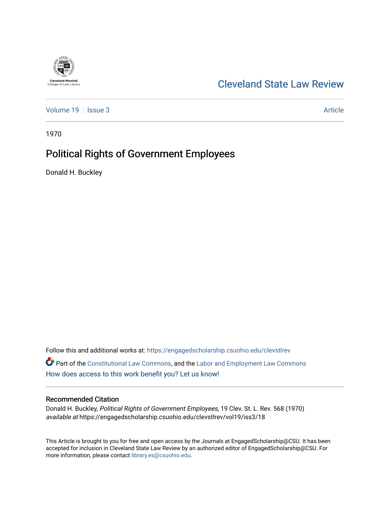

## [Cleveland State Law Review](https://engagedscholarship.csuohio.edu/clevstlrev)

[Volume 19](https://engagedscholarship.csuohio.edu/clevstlrev/vol19) | [Issue 3](https://engagedscholarship.csuohio.edu/clevstlrev/vol19/iss3) Article

1970

## Political Rights of Government Employees

Donald H. Buckley

Follow this and additional works at: [https://engagedscholarship.csuohio.edu/clevstlrev](https://engagedscholarship.csuohio.edu/clevstlrev?utm_source=engagedscholarship.csuohio.edu%2Fclevstlrev%2Fvol19%2Fiss3%2F18&utm_medium=PDF&utm_campaign=PDFCoverPages) Part of the [Constitutional Law Commons,](http://network.bepress.com/hgg/discipline/589?utm_source=engagedscholarship.csuohio.edu%2Fclevstlrev%2Fvol19%2Fiss3%2F18&utm_medium=PDF&utm_campaign=PDFCoverPages) and the Labor and Employment Law Commons [How does access to this work benefit you? Let us know!](http://library.csuohio.edu/engaged/)

#### Recommended Citation

Donald H. Buckley, Political Rights of Government Employees, 19 Clev. St. L. Rev. 568 (1970) available at https://engagedscholarship.csuohio.edu/clevstlrev/vol19/iss3/18

This Article is brought to you for free and open access by the Journals at EngagedScholarship@CSU. It has been accepted for inclusion in Cleveland State Law Review by an authorized editor of EngagedScholarship@CSU. For more information, please contact [library.es@csuohio.edu](mailto:library.es@csuohio.edu).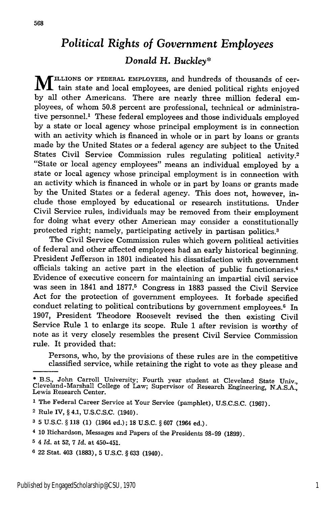# *Political Rights of Government Employees*

### *Donald H. Buckley\**

**M ILLIONS OF FEDERAL** EMPLOYEES, and hundreds of thousands of certain state and local employees, are denied political rights enjoyed by all other Americans. There are nearly three million federal employees, of whom **50.8** percent are professional, technical or administrative personnel.' These federal employees and those individuals employed **by** a state or local agency whose principal employment is in connection with an activity which is financed in whole or in part by loans or grants made by the United States or a federal agency are subject to the United States Civil Service Commission rules regulating political activity.<sup>2</sup> "State or local agency employees" means an individual employed by a state or local agency whose principal employment is in connection with an activity which is financed in whole or in part by loans or grants made **by** the United States or a federal agency. This does not, however, include those employed by educational or research institutions. Under Civil Service rules, individuals may be removed from their employment for doing what every other American may consider a constitutionally protected right; namely, participating actively in partisan politics.<sup>3</sup>

The Civil Service Commission rules which govern political activities of federal and other affected employees had an early historical beginning. President Jefferson in **1801** indicated his dissatisfaction with government officials taking an active part in the election of public functionaries. <sup>4</sup> Evidence of executive concern for maintaining an impartial civil service was seen in 1841 and 1877.<sup>5</sup> Congress in 1883 passed the Civil Service Act for the protection of government employees. It forbade specified conduct relating to political contributions by government employees.<sup>6</sup> In 1907, President Theodore Roosevelt revised the then existing Civil Service Rule 1 to enlarge its scope. Rule **1** after revision is worthy of note as it very closely resembles the present Civil Service Commission rule. It provided that:

Persons, who, **by** the provisions of these rules are in the competitive classified service, while retaining the right to vote as they please and

- 4 10 Richardson, Messages and Papers of the Presidents **98-99 (1899).**
- *5* 4 *Id.* at **52,** 7 *Id.* at 450-451.

<sup>\*</sup>B.S., John Carroll University; Fourth year student at Cleveland State Univ., Cleveland-Marshall College of Law; Supervisor of Research Engineering, N.A.S.A., Lewis Research Center.

**<sup>1</sup>** The Federal Career Service at Your Service (pamphlet), U.S.C.S.C. (1967).

<sup>2</sup> Rule IV, § 4.1, U.S.C.S.C. (1940).

**<sup>3 5</sup> U.S.C. § 118 (1)** (1964 ed.); **18 U.S.C. § 607** (1964 ed.).

**<sup>6</sup>** 22 Stat. 403 (1883), 5 U.S.C. § 633 (1940).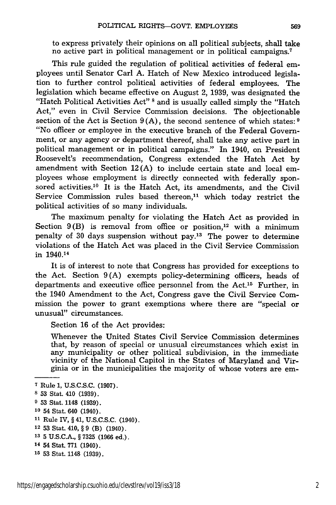to express privately their opinions on all political subjects, shall take no active part in political management or in political campaigns.<sup>7</sup>

This rule guided the regulation of political activities of federal employees until Senator Carl A. Hatch of New Mexico introduced legislation to further control political activities of federal employees. The legislation which became effective on August 2, 1939, was designated the "Hatch Political Activities Act" **8** and is usually called simply the "Hatch Act," even in Civil Service Commission decisions. The objectionable section of the Act is Section 9 (A), the second sentence of which states: **<sup>9</sup>** "No officer or employee in the executive branch of the Federal Government, or any agency or department thereof, shall take any active part in political management or in political campaigns." In 1940, on President Roosevelt's recommendation, Congress extended the Hatch Act by amendment with Section 12 (A) to include certain state and local employees whose employment is directly connected with federally sponsored activities.<sup>10</sup> It is the Hatch Act, its amendments, and the Civil Service Commission rules based thereon,<sup>11</sup> which today restrict the political activities of so many individuals.

The maximum penalty for violating the Hatch Act as provided in Section  $9(B)$  is removal from office or position,<sup>12</sup> with a minimum penalty of 30 days suspension without pay.13 The power to determine violations of the Hatch Act was placed in the Civil Service Commission in 1940.14

It is of interest to note that Congress has provided for exceptions to the Act. Section 9(A) exempts policy-determining officers, heads of departments and executive office personnel from the Act.<sup>15</sup> Further, in the 1940 Amendment to the Act, Congress gave the Civil Service Commission the power to grant exemptions where there are "special or unusual" circumstances.

Section 16 of the Act provides:

Whenever the United States Civil Service Commission determines that, by reason of special or unusual circumstances which exist in any municipality or other political subdivision, in the immediate vicinity of the National Capitol in the States of Maryland and Virginia or in the municipalities the majority of whose voters are em-

12 53 Stat. 410, **§** 9 (B) (1940).

**<sup>7</sup>** Rule 1, U.S.C.S.C. (1907).

**<sup>8</sup>** 53 Stat. 410 (1939).

**<sup>9</sup>** 53 Stat. 1148 (1939).

**<sup>10</sup>**54 Stat. 640 (1940).

**<sup>11</sup>**Rule IV, § 41, U.S.C.S.C. (1940).

**<sup>13</sup>**5 U.S.C.A., § 7325 (1966 ed.).

**<sup>14</sup>** 54 Stat. 771 (1940).

**<sup>15 53</sup>** Stat. 1148 **(1939).**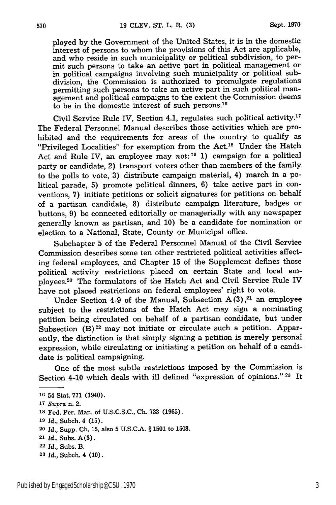ployed by the Government of the United States, it is in the domestic interest of persons to whom the provisions of this Act are applicable, and who reside in such municipality or political subdivision, to permit such persons to take an active part in political management or in political campaigns involving such municipality or political subdivision, the Commission is authorized to promulgate regulations permitting such persons to take an active part in such political management and political campaigns to the extent the Commission deems to be in the domestic interest of such persons.

Civil Service Rule IV, Section 4.1, regulates such political activity.<sup>17</sup> The Federal Personnel Manual describes those activities which are prohibited and the requirements for areas of the country to qualify as "Privileged Localities" for exemption from the Act.<sup>18</sup> Under the Hatch Act and Rule IV, an employee may not:<sup>19</sup> 1) campaign for a political party or candidate, 2) transport voters other than members of the family to the polls to vote, 3) distribute campaign material, 4) march in a political parade, 5) promote political dinners, 6) take active part in conventions, 7) initiate petitions or solicit signatures for petitions on behalf of a partisan candidate, 8) distribute campaign literature, badges or buttons, 9) be connected editorially or managerially with any newspaper generally known as partisan, and 10) be a candidate for nomination or election to a National, State, County or Municipal office.

Subchapter 5 of the Federal Personnel Manual of the Civil Service Commission describes some ten other restricted political activities affecting federal employees, and Chapter 15 of the Supplement defines those political activity restrictions placed on certain State and local employees.20 The formulators of the Hatch Act and Civil Service Rule IV have not placed restrictions on federal employees' right to vote.

Under Section 4-9 of the Manual, Subsection  $A(3),<sup>21</sup>$  an employee subject to the restrictions of the Hatch Act may sign a nominating petition being circulated on behalf of a partisan condidate, but under Subsection (B)<sup>22</sup> may not initiate or circulate such a petition. Apparently, the distinction is that simply signing a petition is merely personal expression, while circulating or initiating a petition on behalf of a candidate is political campaigning.

One of the most subtle restrictions imposed by the Commission is Section 4-10 which deals with ill defined "expression of opinions." **23** It

**<sup>16</sup>**54 Stat. 771 (1940).

**<sup>17</sup>***Supra* n. 2.

**<sup>18</sup>**Fed. Per. Man. of U.S.C.S.C., Ch. 733 (1965).

**<sup>19</sup>** *Id.,* Subch. 4 (15).

<sup>20</sup>*Id.,* Supp. Ch. 15, also 5 U.S.C-A. § **1501** to 1508.

<sup>21</sup> Id., Subs. A(3).

**<sup>22</sup>** *Id.,* Subs. B.

**<sup>23</sup>** *Id.,* Subch. 4 (10).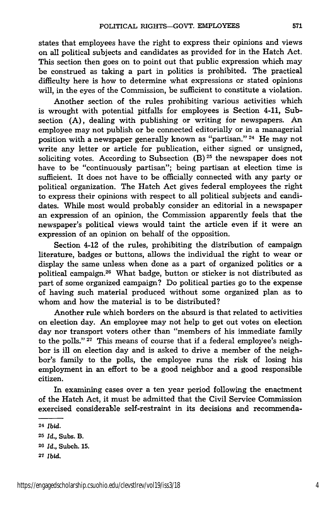states that employees have the right to express their opinions and views on all political subjects and candidates as provided for in the Hatch Act. This section then goes on to point out that public expression which may be construed as taking a part in politics is prohibited. The practical difficulty here is how to determine what expressions or stated opinions will, in the eyes of the Commission, be sufficient to constitute a violation.

Another section of the rules prohibiting various activities which is wrought with potential pitfalls for employees is Section 4-11, Subsection (A), dealing with publishing or writing for newspapers. An employee may not publish or be connected editorially or in a managerial position with a newspaper generally known as "partisan." 24 He may not write any letter or article for publication, either signed or unsigned, soliciting votes. According to Subsection  $(B)$ <sup>25</sup> the newspaper does not have to be "continuously partisan"; being partisan at election time is sufficient. It does not have to be officially connected with any party or political organization. The Hatch Act gives federal employees the right to express their opinions with respect to all political subjects and candidates. While most would probably consider an editorial in a newspaper an expression of an opinion, the Commission apparently feels that the newspaper's political views would taint the article even if it were an expression of an opinion on behalf of the opposition.

Section 4-12 of the rules, prohibiting the distribution of campaign literature, badges or buttons, allows the individual the right to wear or display the same unless when done as a part of organized politics or a political campaign.<sup>26</sup> What badge, button or sticker is not distributed as part of some organized campaign? Do political parties go to the expense of having such material produced without some organized plan as to whom and how the material is to be distributed?

Another rule which borders on the absurd is that related to activities on election day. An employee may not help to get out votes on election day nor transport voters other than "members of his immediate family to the polls." 27 This means of course that if a federal employee's neighbor is ill on election day and is asked to drive a member of the neighbor's family to the polls, the employee runs the risk of losing his employment in an effort to be a good neighbor and a good responsible citizen.

In examining cases over a ten year period following the enactment of the Hatch Act, it must be admitted that the Civil Service Commission exercised considerable self-restraint in its decisions and recommenda-

<sup>24</sup> *Ibid.*

**<sup>25</sup>** *Id.,* Subs. B. **20 Id.,** Subch. 15.

**<sup>27</sup>** Ibid.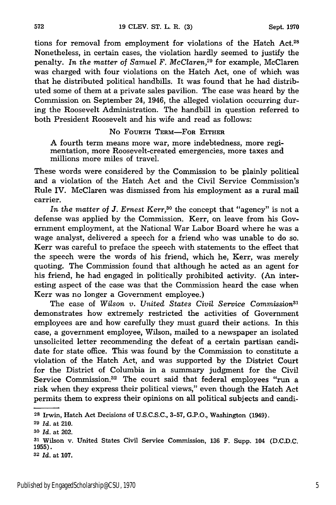tions for removal from employment for violations of the Hatch Act.<sup>28</sup> Nonetheless, in certain cases, the violation hardly seemed to justify the penalty. *In* the *matter of Samuel F. McClaren,29* for example, McClaren was charged with four violations on the Hatch Act, one of which was that he distributed political handbills. It was found that he had distributed some of them at a private sales pavilion. The case was heard by the Commission on September 24, 1946, the alleged violation occurring during the Roosevelt Administration. The handbill in question referred to both President Roosevelt and his wife and read as follows:

#### No FOURTH TERM-FOR EITHER

A fourth term means more war, more indebtedness, more regimentation, more Roosevelt-created emergencies, more taxes and millions more miles of travel.

These words were considered by the Commission to be plainly political and a violation of the Hatch Act and the Civil Service Commission's Rule IV. McClaren was dismissed from his employment as a rural mail carrier.

*In the matter of J. Ernest Kerr,30* the concept that "agency" is not a defense was applied by the Commission. Kerr, on leave from his Government employment, at the National War Labor Board where he was a wage analyst, delivered a speech for a friend who was unable to do so. Kerr was careful to preface the speech with statements to the effect that the speech were the words of his friend, which he, Kerr, was merely quoting. The Commission found that although he acted as an agent for his friend, he had engaged in politically prohibited activity. (An interesting aspect of the case was that the Commission heard the case when Kerr was no longer a Government employee.)

The case of *Wilson v. United States Civil Service Commission3l* demonstrates how extremely restricted the activities of Government employees are and how carefully they must guard their actions. In this case, a government employee, Wilson, mailed to a newspaper an isolated unsolicited letter recommending the defeat of a certain partisan candidate for state office. This was found by the Commission to constitute a violation of the Hatch Act, and was supported by the District Court for the District of Columbia in a summary judgment for the Civil Service Commission.<sup>32</sup> The court said that federal employees "run a risk when they express their political views," even though the Hatch Act permits them to express their opinions on all political subjects and candi-

**<sup>28</sup>**Irwin, Hatch Act Decisions of U.S.C.S.C., 3-57, G.P.O., Washington (1949).

**<sup>29</sup>***Id.* at 210.

**<sup>30</sup>***Id.* at 202.

**<sup>31</sup>**Wilson v. United States Civil Service Commission, **136** F. Supp. 104 (D.C.D.C. 1955).

**<sup>32</sup>***Id.* at 107.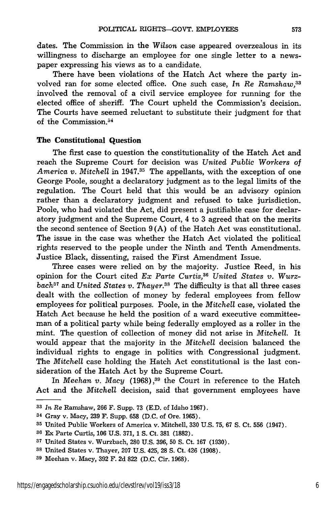dates. The Commission in the Wilson case appeared overzealous in its willingness to discharge an employee for one single letter to a newspaper expressing his views as to a candidate.

There have been violations of the Hatch Act where the party involved ran for some elected office. One such case, *In Re Ramshaw, <sup>33</sup>* involved the removal of a civil service employee for running for the elected office of sheriff. The Court upheld the Commission's decision. The Courts have seemed reluctant to substitute their judgment for that of the Commission.<sup>34</sup>

#### The Constitutional Question

The first case to question the constitutionality of the Hatch Act and reach the Supreme Court for decision was *United Public Workers of* America v. Mitchell in 1947.<sup>35</sup> The appellants, with the exception of one George Poole, sought a declaratory judgment as to the legal limits of the regulation. The Court held that this would be an advisory opinion rather than a declaratory judgment and refused to take jurisdiction. Poole, who had violated the Act, did present a justifiable case for declaratory judgment and the Supreme Court, 4 to 3 agreed that on the merits the second sentence of Section 9 (A) of the Hatch Act was constitutional. The issue in the case was whether the Hatch Act violated the political rights reserved to the people under the Ninth and Tenth Amendments. Justice Black, dissenting, raised the First Amendment Issue.

Three cases were relied on by the majority. Justice Reed, in his opinion for the Court cited *Ex Parte Curtis,36 United States v. Wurzbach37* and *United States v. Thayer.38* The difficulty is that all three cases dealt with the collection of money by federal employees from fellow employees for political purposes. Poole, in the *Mitchell* case, violated the Hatch Act because he held the position of a ward executive committeeman of a political party while being federally employed as a roller in the mint. The question of collection of money did not arise in *Mitchell.* It would appear that the majority in the *Mitchell* decision balanced the individual rights to engage in politics with Congressional judgment. The *Mitchell* case holding the Hatch Act constitutional is the last consideration of the Hatch Act by the Supreme Court.

In *Meehan v. Macy* (1968),<sup>39</sup> the Court in reference to the Hatch Act and the *Mitchell* decision, said that government employees have

*<sup>33</sup>In Re* Ramshaw, 266 F. Supp. 73 (E.D. of Idaho 1967).

**<sup>34</sup>**Gray v. Macy, **239** F. Supp. **658** (D.C. of Ore. **1965).**

**<sup>35</sup>**United Public Workers of America v. Mitchell, 330 U.S. 75, 67 **S.** Ct. 556 (1947).

**<sup>36</sup>**Ex Parte Curtis, 106 U.S. 371, 1 **S.** Ct. **381** (1882).

*<sup>37</sup>*United States v. Wurzbach, 280 U.S. 396, 50 **S.** Ct. 167 (1930).

*<sup>38</sup>*United States v. Thayer, 207 U.S. 425, **28 S.** Ct. 426 (1908).

**<sup>39</sup>**Meehan v. Macy, 392 F. 2d **822** (D.C. Cir. 1968).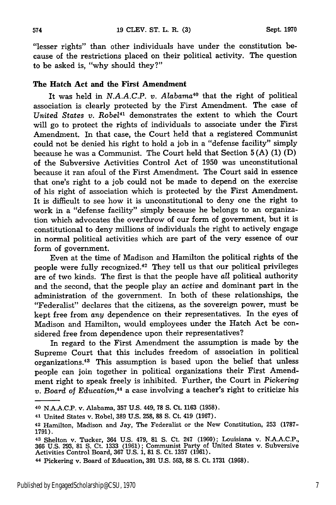"lesser rights" than other individuals have under the constitution because of the restrictions placed on their political activity. The question to be asked is, "why should they?"

#### **The Hatch Act and the First Amendment**

It was held in *N.A.A.C.P. v. Alabama40* that **the** right of political association is clearly protected by the First Amendment. The case of United States v. Robel<sup>41</sup> demonstrates the extent to which the Court will go to protect the rights of individuals to associate under the First Amendment. In that case, the Court held that a registered Communist could not be denied his right to hold a job in a "defense facility" simply because he was a Communist. The Court held that Section 5 (A) (1) (D) of the Subversive Activities Control Act of 1950 was unconstitutional because it ran afoul of the First Amendment. The Court said in essence that one's right to a job could not be made to depend on the exercise of his right of association which is protected by the First Amendment. It is difficult to see how it is unconstitutional to deny one the right to work in a "defense facility" simply because he belongs to an organization which advocates the overthrow of our form of government, but it is constitutional to deny millions of individuals the right to actively engage in normal political activities which are part of the very essence of our form of government.

Even at the time of Madison and Hamilton the political rights of the people were fully recognized. 42 They tell us that our political privileges are of two kinds. The first is that the people have all political authority and the second, that the people play an *active* and dominant part in the administration of the government. In both of these relationships, the "Federalist" declares that the citizens, as the sovereign power, must be kept free from *any* dependence on their representatives. In the eyes of Madison and Hamilton, would employees under the Hatch Act be considered free from dependence upon their representatives?

In regard to the First Amendment the assumption is made by the Supreme Court that this includes freedom of association in political organizations. 43 This assumption is based upon the belief that unless people can join together in political organizations their First Amendment right to speak freely is inhibited. Further, the Court in *Pickering v. Board* of *Education,44* a case involving a teacher's right to criticize his

**<sup>40</sup>**N.A.A.C.P. v. Alabama, **357 U.S.** 449, 78 **S.** Ct. **1163 (1958).**

**<sup>41</sup>**United States v. Robel, **389** U.S. 258, **88** S. Ct. 419 (1967).

**<sup>42</sup>**Hamilton, Madison and Jay, The Federalist or the New Constitution, 253 (1787- 1791).

**<sup>43</sup>**Shelton v. Tucker, 364 U.S. 479, **81 S.** Ct. 247 (1960); Louisiana v. N.A.A.C.P., **366** U.S. 293, **81 S.** Ct. 1333 (1961); Communist Party of United States v. Subversive Activities Control Board, **367** U.S. 1, **81 S.** Ct. 1357 (1961).

**<sup>44</sup>**Pickering v. Board of Education, 391 U.S. 563, **88 S.** Ct. 1731 (1968).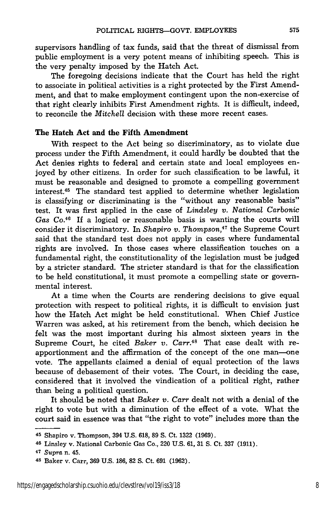supervisors handling of tax funds, said that the threat of dismissal from public employment is a very potent means of inhibiting speech. This is the very penalty imposed by the Hatch Act.

The foregoing decisions indicate that the Court has held the right to associate in political activities is a right protected by the First Amendment, and that to make employment contingent upon the non-exercise of that right clearly inhibits First Amendment rights. It is difficult, indeed, to reconcile the *Mitchell* decision with these more recent cases.

#### The Hatch Act and **the Fifth Amendment**

With respect to the Act being so discriminatory, as to violate due process under the Fifth Amendment, it could hardly be doubted that the Act denies rights to federal and certain state and local employees enjoyed **by** other citizens. In order for such classification to be lawful, it must be reasonable and designed to promote a compelling government interest.45 The standard test applied to determine whether legislation is classifying or discriminating is the "without any reasonable basis" test. It was first applied in the case of *Lindsley v. National Carbonic Gas Co.46* If a logical or reasonable basis is wanting the courts will consider it discriminatory. In *Shapiro v. Thompson,47* the Supreme Court said that the standard test does not apply in cases where fundamental rights are involved. In those cases where classification touches on a fundamental right, the constitutionality of the legislation must be judged by a stricter standard. The stricter standard is that for the classification to be held constitutional, it must promote a compelling state or governmental interest.

At a time when the Courts are rendering decisions to give equal protection with respect to political rights, it is difficult to envision just how the Hatch Act might be held constitutional. When Chief Justice Warren was asked, at his retirement from the bench, which decision he felt was the most important during his almost sixteen years in the Supreme Court, he cited *Baker v. Carr.48* That case dealt with reapportionment and the affirmation of the concept of the one man-one vote. The appellants claimed a denial of equal protection of the laws because of debasement of their votes. The Court, in deciding the case, considered that it involved the vindication of a political right, rather than being a political question.

It should be noted that *Baker v. Carr* dealt not with a denial of the right to vote but with a diminution of the effect of a vote. What the court said in essence was that "the right to vote" includes more than the

**<sup>45</sup>**Shapiro v. Thompson, 394 U.S. 618, **89** S. Ct. 1322 (1969).

**<sup>46</sup>**Linsley v. National Carbonic Gas Co., 220 U.S. 61, 31 S. Ct. 337 (1911).

*<sup>47</sup>*Supra n. 45.

**<sup>48</sup>**Baker v. Carr, **369** U.S. 186, **82** S. Ct. 691 (1962).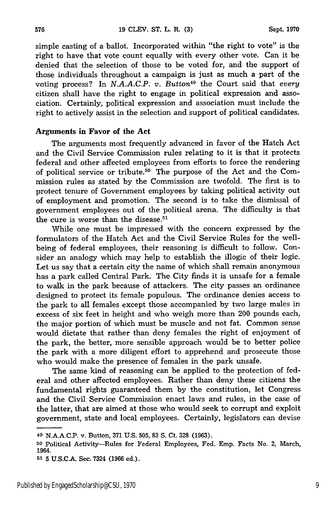simple casting of a ballot. Incorporated within "the right to vote" is the right to have that vote count equally with every other vote. Can it be denied that the selection of those to be voted for, and the support of those individuals throughout a campaign is just as much a part of the voting process? In *N.A.A.C.P. v. Button49* the Court said that *every* citizen shall have the right to engage in political expression and association. Certainly, political expression and association must include the right to actively assist in the selection and support of political candidates.

#### Arguments **in** Favor of the Act

The arguments most frequently advanced in favor of the Hatch Act and the Civil Service Commission rules relating to it is that it protects federal and other affected employees from efforts to force the rendering of political service or tribute.50 The purpose of the Act and the Commission rules as stated by the Commission are twofold. The first is to protect tenure of Government employees by taking political activity out of employment and promotion. The second is to take the dismissal of government employees out of the political arena. The difficulty is that the cure is worse than the disease.<sup>51</sup>

While one must be impressed with the concern expressed by the formulators of the Hatch Act and the Civil Service Rules for the wellbeing of federal employees, their reasoning is difficult to follow. Consider an analogy which may help to establish the illogic of their logic. Let us say that a certain city the name of which shall remain anonymous has a park called Central Park. The City finds it is unsafe for a female to walk in the park because of attackers. The city passes an ordinance designed to protect its female populous. The ordinance denies access to the park to all females except those accompanied by two large males in excess of six feet in height and who weigh more than 200 pounds each, the major portion of which must be muscle and not fat. Common sense would dictate that rather than deny females the right of enjoyment of the park, the better, more sensible approach would be to better police the park with a more diligent effort to apprehend and prosecute those who would make the presence of females in the park unsafe.

The same kind of reasoning can be applied to the protection of federal and other affected employees. Rather than deny these citizens the fundamental rights guaranteed them by the constitution, let Congress and the Civil Service Commission enact laws and rules, in the case of the latter, that are aimed at those who would seek to corrupt and exploit government, state and local employees. Certainly, legislators can devise

<sup>49</sup> N.A.A.C.P. v. Button, 371 U.S. 505, 83 S. Ct. 328 (1963).

**<sup>50</sup>**Political Activity-Rules for Federal Employees, Fed. Emp. Facts No. 2, March, 1964.

**<sup>51</sup>** 5 U.S.C.A. Sec. 7324 (1966 ed.).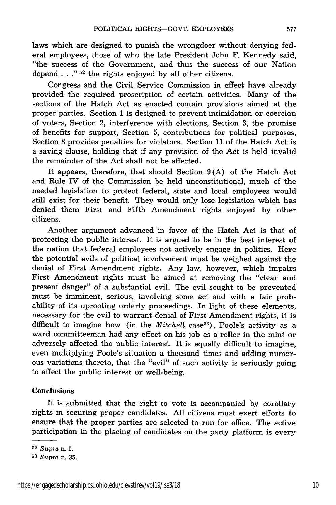laws which are designed to punish the wrongdoer without denying federal employees, those of who the late President John F. Kennedy said, "the success of the Government, and thus the success of our Nation depend **...** ." 52 the rights enjoyed by all other citizens.

Congress and the Civil Service Commission in effect have already provided the required proscription of certain activities. Many of the sections of the Hatch Act as enacted contain provisions aimed at the proper parties. Section 1 is designed to prevent intimidation or coercion of voters, Section 2, interference with elections, Section 3, the promise of benefits for support, Section 5, contributions for political purposes, Section 8 provides penalties for violators. Section 11 of the Hatch Act is a saving clause, holding that if any provision of the Act is held invalid the remainder of the Act shall not be affected.

It appears, therefore, that should Section 9 (A) of the Hatch Act and Rule IV of the Commission be held unconstitutional, much of the needed legislation to protect federal, state and local employees would still exist for their benefit. They would only lose legislation which has denied them First and Fifth Amendment rights enjoyed by other citizens.

Another argument advanced in favor of the Hatch Act is that of protecting the public interest. It is argued to be in the best interest of the nation that federal employees not actively engage in politics. Here the potential evils of political involvement must be weighed against the denial of First Amendment rights. Any law, however, which impairs First Amendment rights must be aimed at removing the "clear and present danger" of a substantial evil. The evil sought to be prevented must be imminent, serious, involving some act and with a fair probability of its uprooting orderly proceedings. In light of these elements, necessary for the evil to warrant denial of First Amendment rights, it is difficult to imagine how (in the *Mitchell* case<sup>53</sup>), Poole's activity as a ward committeeman had any effect on his job as a roller in the mint or adversely affected the public interest. It is equally difficult to imagine, even multiplying Poole's situation a thousand times and adding numerous variations thereto, that the "evil" of such activity is seriously going to affect the public interest or well-being.

#### **Conclusions**

It is submitted that the right to vote is accompanied by corollary rights in securing proper candidates. All citizens must exert efforts to ensure that the proper parties are selected to run for office. The active participation in the placing of candidates on the party platform is every

**<sup>52</sup>***Supra* n. **1.**

<sup>53</sup>*Supra* n. 35.